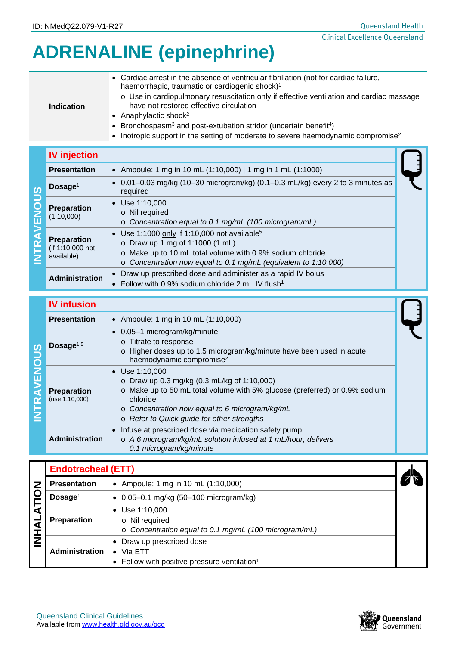1

# **ADRENALINE (epinephrine)**

| <b>Indication</b> | • Cardiac arrest in the absence of ventricular fibrillation (not for cardiac failure,<br>haemorrhagic, traumatic or cardiogenic shock) <sup>1</sup><br>o Use in cardiopulmonary resuscitation only if effective ventilation and cardiac massage<br>have not restored effective circulation<br>• Anaphylactic shock <sup>2</sup><br>• Bronchospasm <sup>3</sup> and post-extubation stridor (uncertain benefit <sup>4</sup> )<br>• Inotropic support in the setting of moderate to severe haemodynamic compromise <sup>2</sup> |
|-------------------|-------------------------------------------------------------------------------------------------------------------------------------------------------------------------------------------------------------------------------------------------------------------------------------------------------------------------------------------------------------------------------------------------------------------------------------------------------------------------------------------------------------------------------|
|                   |                                                                                                                                                                                                                                                                                                                                                                                                                                                                                                                               |

### **IV injection**

| <b>Presentation</b>                                         | • Ampoule: 1 mg in 10 mL (1:10,000)   1 mg in 1 mL (1:1000)                                                                                                                                                                           |
|-------------------------------------------------------------|---------------------------------------------------------------------------------------------------------------------------------------------------------------------------------------------------------------------------------------|
| Dosage <sup>1</sup><br>ທ                                    | • $0.01 - 0.03$ mg/kg (10-30 microgram/kg) (0.1-0.3 mL/kg) every 2 to 3 minutes as<br>required                                                                                                                                        |
| $\overline{\mathbf{o}}$<br><b>Preparation</b><br>(1:10,000) | $\bullet$ Use 1:10,000<br>o Nil required<br>o Concentration equal to 0.1 mg/mL (100 microgram/mL)                                                                                                                                     |
| <b>Preparation</b><br>(if 1:10,000 not<br>available)        | • Use 1:1000 only if 1:10,000 not available <sup>5</sup><br>o Draw up 1 mg of 1:1000 $(1 \text{ mL})$<br>o Make up to 10 mL total volume with 0.9% sodium chloride<br>o Concentration now equal to 0.1 mg/mL (equivalent to 1:10,000) |
| <b>Administration</b>                                       | • Draw up prescribed dose and administer as a rapid IV bolus<br>• Follow with $0.9\%$ sodium chloride 2 mL IV flush <sup>1</sup>                                                                                                      |

## **IV infusion**

|        | <b>Presentation</b>                  | • Ampoule: 1 mg in 10 mL (1:10,000)                                                                                                                                                                                                                                        |  |  |  |
|--------|--------------------------------------|----------------------------------------------------------------------------------------------------------------------------------------------------------------------------------------------------------------------------------------------------------------------------|--|--|--|
| ၯ<br>◠ | Dosage $1,5$                         | • 0.05-1 microgram/kg/minute<br>o Titrate to response<br>o Higher doses up to 1.5 microgram/kg/minute have been used in acute<br>haemodynamic compromise <sup>2</sup>                                                                                                      |  |  |  |
|        | <b>Preparation</b><br>(use 1:10,000) | $\bullet$ Use 1:10,000<br>o Draw up 0.3 mg/kg $(0.3 \text{ mL/kg of } 1:10,000)$<br>o Make up to 50 mL total volume with 5% glucose (preferred) or 0.9% sodium<br>chloride<br>o Concentration now equal to 6 microgram/kg/mL<br>o Refer to Quick guide for other strengths |  |  |  |
|        | Administration                       | • Infuse at prescribed dose via medication safety pump<br>o A 6 microgram/kg/mL solution infused at 1 mL/hour, delivers<br>0.1 microgram/kg/minute                                                                                                                         |  |  |  |

|  | <b>Endotracheal (ETT)</b> |                                                                                                   |  |
|--|---------------------------|---------------------------------------------------------------------------------------------------|--|
|  | <b>Presentation</b>       | • Ampoule: 1 mg in 10 mL $(1:10,000)$                                                             |  |
|  | Dosage <sup>1</sup>       | $\bullet$ 0.05-0.1 mg/kg (50-100 microgram/kg)                                                    |  |
|  | <b>Preparation</b>        | $\bullet$ Use 1:10,000<br>o Nil required<br>o Concentration equal to 0.1 mg/mL (100 microgram/mL) |  |
|  | <b>Administration</b>     | • Draw up prescribed dose<br>Via ETT<br>• Follow with positive pressure ventilation <sup>1</sup>  |  |

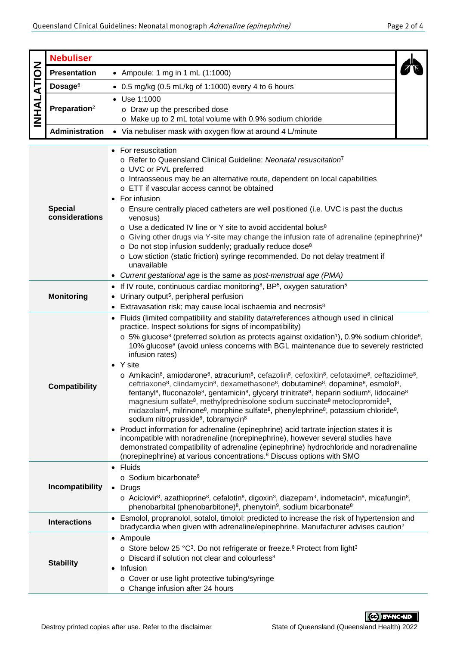|                                                                                                                            | <b>Nebuliser</b>                                                                                                                                                                                                                                                       |                                                                                                                                                                                                                                                                                                                                                                                                                                                                                                                                                                                                                                                                                                                                                                                                                                                                                                                                                                                                                                                                                                                                                                                                                                                                                                                                                                                                                                                                                                                                                                        |  |  |  |  |  |
|----------------------------------------------------------------------------------------------------------------------------|------------------------------------------------------------------------------------------------------------------------------------------------------------------------------------------------------------------------------------------------------------------------|------------------------------------------------------------------------------------------------------------------------------------------------------------------------------------------------------------------------------------------------------------------------------------------------------------------------------------------------------------------------------------------------------------------------------------------------------------------------------------------------------------------------------------------------------------------------------------------------------------------------------------------------------------------------------------------------------------------------------------------------------------------------------------------------------------------------------------------------------------------------------------------------------------------------------------------------------------------------------------------------------------------------------------------------------------------------------------------------------------------------------------------------------------------------------------------------------------------------------------------------------------------------------------------------------------------------------------------------------------------------------------------------------------------------------------------------------------------------------------------------------------------------------------------------------------------------|--|--|--|--|--|
|                                                                                                                            | <b>Presentation</b>                                                                                                                                                                                                                                                    | • Ampoule: 1 mg in 1 mL (1:1000)                                                                                                                                                                                                                                                                                                                                                                                                                                                                                                                                                                                                                                                                                                                                                                                                                                                                                                                                                                                                                                                                                                                                                                                                                                                                                                                                                                                                                                                                                                                                       |  |  |  |  |  |
| <b>INHALATION</b>                                                                                                          | Dosage <sup>6</sup>                                                                                                                                                                                                                                                    | $\bullet$ 0.5 mg/kg (0.5 mL/kg of 1:1000) every 4 to 6 hours                                                                                                                                                                                                                                                                                                                                                                                                                                                                                                                                                                                                                                                                                                                                                                                                                                                                                                                                                                                                                                                                                                                                                                                                                                                                                                                                                                                                                                                                                                           |  |  |  |  |  |
|                                                                                                                            |                                                                                                                                                                                                                                                                        |                                                                                                                                                                                                                                                                                                                                                                                                                                                                                                                                                                                                                                                                                                                                                                                                                                                                                                                                                                                                                                                                                                                                                                                                                                                                                                                                                                                                                                                                                                                                                                        |  |  |  |  |  |
|                                                                                                                            | Preparation <sup>2</sup>                                                                                                                                                                                                                                               | • Use 1:1000<br>o Draw up the prescribed dose                                                                                                                                                                                                                                                                                                                                                                                                                                                                                                                                                                                                                                                                                                                                                                                                                                                                                                                                                                                                                                                                                                                                                                                                                                                                                                                                                                                                                                                                                                                          |  |  |  |  |  |
|                                                                                                                            |                                                                                                                                                                                                                                                                        | o Make up to 2 mL total volume with 0.9% sodium chloride                                                                                                                                                                                                                                                                                                                                                                                                                                                                                                                                                                                                                                                                                                                                                                                                                                                                                                                                                                                                                                                                                                                                                                                                                                                                                                                                                                                                                                                                                                               |  |  |  |  |  |
|                                                                                                                            | <b>Administration</b>                                                                                                                                                                                                                                                  | • Via nebuliser mask with oxygen flow at around 4 L/minute                                                                                                                                                                                                                                                                                                                                                                                                                                                                                                                                                                                                                                                                                                                                                                                                                                                                                                                                                                                                                                                                                                                                                                                                                                                                                                                                                                                                                                                                                                             |  |  |  |  |  |
|                                                                                                                            |                                                                                                                                                                                                                                                                        | • For resuscitation                                                                                                                                                                                                                                                                                                                                                                                                                                                                                                                                                                                                                                                                                                                                                                                                                                                                                                                                                                                                                                                                                                                                                                                                                                                                                                                                                                                                                                                                                                                                                    |  |  |  |  |  |
|                                                                                                                            | <b>Special</b><br>considerations                                                                                                                                                                                                                                       | o Refer to Queensland Clinical Guideline: Neonatal resuscitation <sup>7</sup><br>o UVC or PVL preferred<br>o Intraosseous may be an alternative route, dependent on local capabilities<br>o ETT if vascular access cannot be obtained<br>• For infusion<br>o Ensure centrally placed catheters are well positioned (i.e. UVC is past the ductus<br>venosus)<br>o Use a dedicated IV line or Y site to avoid accidental bolus <sup>8</sup><br>$\circ$ Giving other drugs via Y-site may change the infusion rate of adrenaline (epinephrine) <sup>8</sup><br>o Do not stop infusion suddenly; gradually reduce dose <sup>8</sup><br>o Low stiction (static friction) syringe recommended. Do not delay treatment if<br>unavailable<br>• Current gestational age is the same as post-menstrual age (PMA)                                                                                                                                                                                                                                                                                                                                                                                                                                                                                                                                                                                                                                                                                                                                                                 |  |  |  |  |  |
|                                                                                                                            | • If IV route, continuous cardiac monitoring <sup>8</sup> , BP <sup>5</sup> , oxygen saturation <sup>5</sup><br><b>Monitoring</b><br>• Urinary output <sup>5</sup> , peripheral perfusion<br>• Extravasation risk; may cause local ischaemia and necrosis <sup>8</sup> |                                                                                                                                                                                                                                                                                                                                                                                                                                                                                                                                                                                                                                                                                                                                                                                                                                                                                                                                                                                                                                                                                                                                                                                                                                                                                                                                                                                                                                                                                                                                                                        |  |  |  |  |  |
| infusion rates)<br>$\bullet$ Y site<br><b>Compatibility</b><br>sodium nitroprusside <sup>8</sup> , tobramycin <sup>8</sup> |                                                                                                                                                                                                                                                                        | • Fluids (limited compatibility and stability data/references although used in clinical<br>practice. Inspect solutions for signs of incompatibility)<br>$\circ$ 5% glucose <sup>8</sup> (preferred solution as protects against oxidation <sup>1</sup> ), 0.9% sodium chloride <sup>8</sup> ,<br>10% glucose <sup>8</sup> (avoid unless concerns with BGL maintenance due to severely restricted<br>$\circ$ Amikacin <sup>8</sup> , amiodarone <sup>8</sup> , atracurium <sup>8</sup> , cefazolin <sup>8</sup> , cefoxitin <sup>8</sup> , cefotaxime <sup>8</sup> , ceftazidime <sup>8</sup> ,<br>ceftriaxone <sup>8</sup> , clindamycin <sup>8</sup> , dexamethasone <sup>8</sup> , dobutamine <sup>8</sup> , dopamine <sup>8</sup> , esmolol <sup>8</sup> ,<br>fentanyl <sup>8</sup> , fluconazole <sup>8</sup> , gentamicin <sup>8</sup> , glyceryl trinitrate <sup>8</sup> , heparin sodium <sup>8</sup> , lidocaine <sup>8</sup><br>magnesium sulfate <sup>8</sup> , methylprednisolone sodium succinate <sup>8</sup> metoclopromide <sup>8</sup> ,<br>midazolam <sup>8</sup> , milrinone <sup>8</sup> , morphine sulfate <sup>8</sup> , phenylephrine <sup>8</sup> , potassium chloride <sup>8</sup> ,<br>Product information for adrenaline (epinephrine) acid tartrate injection states it is<br>incompatible with noradrenaline (norepinephrine), however several studies have<br>demonstrated compatibility of adrenaline (epinephrine) hydrochloride and noradrenaline<br>(norepinephrine) at various concentrations. <sup>8</sup> Discuss options with SMO |  |  |  |  |  |
|                                                                                                                            | Incompatibility                                                                                                                                                                                                                                                        | • Fluids<br>o Sodium bicarbonate <sup>8</sup><br>$\bullet$ Drugs<br>$\circ$ Aciclovir <sup>8</sup> , azathioprine <sup>8</sup> , cefalotin <sup>8</sup> , digoxin <sup>3</sup> , diazepam <sup>3</sup> , indometacin <sup>8</sup> , micafungin <sup>8</sup> ,<br>phenobarbital (phenobarbitone) <sup>8</sup> , phenytoin <sup>9</sup> , sodium bicarbonate <sup>8</sup>                                                                                                                                                                                                                                                                                                                                                                                                                                                                                                                                                                                                                                                                                                                                                                                                                                                                                                                                                                                                                                                                                                                                                                                                |  |  |  |  |  |
|                                                                                                                            | <b>Interactions</b>                                                                                                                                                                                                                                                    | • Esmolol, propranolol, sotalol, timolol: predicted to increase the risk of hypertension and<br>bradycardia when given with adrenaline/epinephrine. Manufacturer advises caution <sup>2</sup>                                                                                                                                                                                                                                                                                                                                                                                                                                                                                                                                                                                                                                                                                                                                                                                                                                                                                                                                                                                                                                                                                                                                                                                                                                                                                                                                                                          |  |  |  |  |  |
|                                                                                                                            | <b>Stability</b>                                                                                                                                                                                                                                                       | • Ampoule<br>o Store below 25 °C <sup>3</sup> . Do not refrigerate or freeze. <sup>8</sup> Protect from light <sup>3</sup><br>o Discard if solution not clear and colourless <sup>8</sup><br>Infusion<br>$\bullet$<br>○ Cover or use light protective tubing/syringe<br>o Change infusion after 24 hours                                                                                                                                                                                                                                                                                                                                                                                                                                                                                                                                                                                                                                                                                                                                                                                                                                                                                                                                                                                                                                                                                                                                                                                                                                                               |  |  |  |  |  |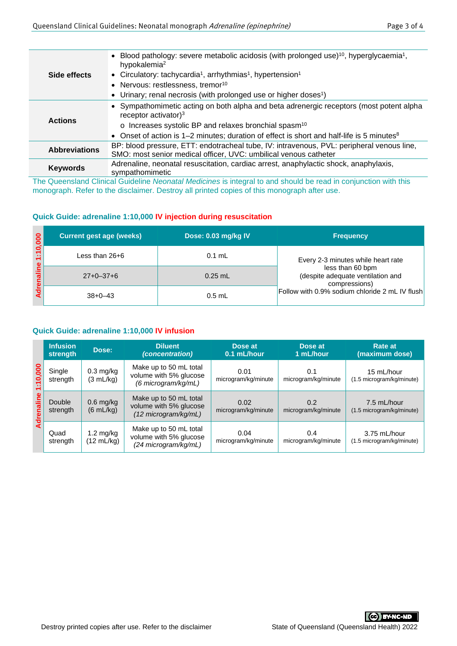|                      | • Blood pathology: severe metabolic acidosis (with prolonged use) <sup>10</sup> , hyperglycaemia <sup>1</sup> ,<br>hypokalemia <sup>2</sup> |
|----------------------|---------------------------------------------------------------------------------------------------------------------------------------------|
| Side effects         | • Circulatory: tachycardia <sup>1</sup> , arrhythmias <sup>1</sup> , hypertension <sup>1</sup>                                              |
|                      | • Nervous: restlessness, tremor <sup>10</sup>                                                                                               |
|                      | • Urinary; renal necrosis (with prolonged use or higher doses <sup>1</sup> )                                                                |
|                      | • Sympathomimetic acting on both alpha and beta adrenergic receptors (most potent alpha<br>receptor activator) $3$                          |
| <b>Actions</b>       | o Increases systolic BP and relaxes bronchial spasm <sup>10</sup>                                                                           |
|                      | • Onset of action is 1–2 minutes; duration of effect is short and half-life is 5 minutes <sup>8</sup>                                       |
| <b>Abbreviations</b> | BP: blood pressure, ETT: endotracheal tube, IV: intravenous, PVL: peripheral venous line,                                                   |
|                      | SMO: most senior medical officer, UVC: umbilical venous catheter                                                                            |
| <b>Keywords</b>      | Adrenaline, neonatal resuscitation, cardiac arrest, anaphylactic shock, anaphylaxis,<br>sympathomimetic                                     |

The Queensland Clinical Guideline *Neonatal Medicines* is integral to and should be read in conjunction with this monograph. Refer to the disclaimer. Destroy all printed copies of this monograph after use.

#### **Quick Guide: adrenaline 1:10,000 IV injection during resuscitation**

| $\overline{0}$ | <b>Current gest age (weeks)</b> | Dose: 0.03 mg/kg IV | <b>Frequency</b>                                                       |  |
|----------------|---------------------------------|---------------------|------------------------------------------------------------------------|--|
| ÷.<br>മ        | Less than 26+6                  | $0.1 \text{ mL}$    | Every 2-3 minutes while heart rate                                     |  |
| $\frac{1}{2}$  | $27+0-37+6$                     | $0.25$ mL           | less than 60 bpm<br>(despite adequate ventilation and<br>compressions) |  |
|                | $38+0-43$                       | $0.5$ mL            | Follow with 0.9% sodium chloride 2 mL IV flush                         |  |

#### **Quick Guide: adrenaline 1:10,000 IV infusion**

|                           | <b>Infusion</b><br>strength | Dose:                              | <b>Diluent</b><br>(concentration)                                        | Dose at<br>0.1 mL/hour      | Dose at<br>1 mL/hour       | Rate at<br>(maximum dose)                 |
|---------------------------|-----------------------------|------------------------------------|--------------------------------------------------------------------------|-----------------------------|----------------------------|-------------------------------------------|
| :10,000<br>듷<br>ã<br>ਟ੍ਰੋ | Single<br>strength          | $0.3$ mg/kg<br>$(3 \text{ mL/kg})$ | Make up to 50 mL total<br>volume with 5% glucose<br>(6 microgram/kg/mL)  | 0.01<br>microgram/kg/minute | 0.1<br>microgram/kg/minute | 15 mL/hour<br>(1.5 microgram/kg/minute)   |
|                           | Double<br>strength          | $0.6$ mg/kg<br>$(6 \text{ mL/kg})$ | Make up to 50 mL total<br>volume with 5% glucose<br>(12 microgram/kg/mL) | 0.02<br>microgram/kg/minute | 0.2<br>microgram/kg/minute | 7.5 mL/hour<br>(1.5 microgram/kg/minute)  |
|                           | Quad<br>strength            | $1.2 \text{ mg/kg}$<br>(12 mL/kg)  | Make up to 50 mL total<br>volume with 5% glucose<br>(24 microgram/kg/mL) | 0.04<br>microgram/kg/minute | 0.4<br>microgram/kg/minute | 3.75 mL/hour<br>(1.5 microgram/kg/minute) |